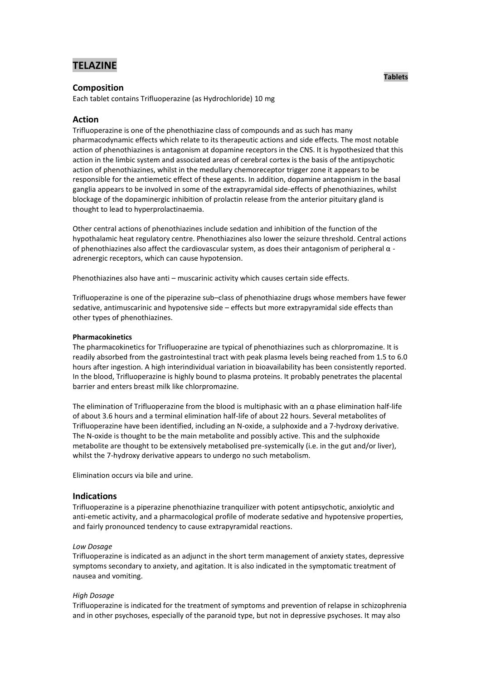# **TELAZINE**

## **Composition**

Each tablet contains Trifluoperazine (as Hydrochloride) 10 mg

## **Action**

Trifluoperazine is one of the phenothiazine class of compounds and as such has many pharmacodynamic effects which relate to its therapeutic actions and side effects. The most notable action of phenothiazines is antagonism at dopamine receptors in the CNS. It is hypothesized that this action in the limbic system and associated areas of cerebral cortex is the basis of the antipsychotic action of phenothiazines, whilst in the medullary chemoreceptor trigger zone it appears to be responsible for the antiemetic effect of these agents. In addition, dopamine antagonism in the basal ganglia appears to be involved in some of the extrapyramidal side-effects of phenothiazines, whilst blockage of the dopaminergic inhibition of prolactin release from the anterior pituitary gland is thought to lead to hyperprolactinaemia.

Other central actions of phenothiazines include sedation and inhibition of the function of the hypothalamic heat regulatory centre. Phenothiazines also lower the seizure threshold. Central actions of phenothiazines also affect the cardiovascular system, as does their antagonism of peripheral  $\alpha$  adrenergic receptors, which can cause hypotension.

Phenothiazines also have anti – muscarinic activity which causes certain side effects.

Trifluoperazine is one of the piperazine sub–class of phenothiazine drugs whose members have fewer sedative, antimuscarinic and hypotensive side – effects but more extrapyramidal side effects than other types of phenothiazines.

#### **Pharmacokinetics**

The pharmacokinetics for Trifluoperazine are typical of phenothiazines such as chlorpromazine. It is readily absorbed from the gastrointestinal tract with peak plasma levels being reached from 1.5 to 6.0 hours after ingestion. A high interindividual variation in bioavailability has been consistently reported. In the blood, Trifluoperazine is highly bound to plasma proteins. It probably penetrates the placental barrier and enters breast milk like chlorpromazine.

The elimination of Trifluoperazine from the blood is multiphasic with an  $\alpha$  phase elimination half-life of about 3.6 hours and a terminal elimination half-life of about 22 hours. Several metabolites of Trifluoperazine have been identified, including an N-oxide, a sulphoxide and a 7-hydroxy derivative. The N-oxide is thought to be the main metabolite and possibly active. This and the sulphoxide metabolite are thought to be extensively metabolised pre-systemically (i.e. in the gut and/or liver), whilst the 7-hydroxy derivative appears to undergo no such metabolism.

Elimination occurs via bile and urine.

#### **Indications**

Trifluoperazine is a piperazine phenothiazine tranquilizer with potent antipsychotic, anxiolytic and anti-emetic activity, and a pharmacological profile of moderate sedative and hypotensive properties, and fairly pronounced tendency to cause extrapyramidal reactions.

#### *Low Dosage*

Trifluoperazine is indicated as an adjunct in the short term management of anxiety states, depressive symptoms secondary to anxiety, and agitation. It is also indicated in the symptomatic treatment of nausea and vomiting.

#### *High Dosage*

Trifluoperazine is indicated for the treatment of symptoms and prevention of relapse in schizophrenia and in other psychoses, especially of the paranoid type, but not in depressive psychoses. It may also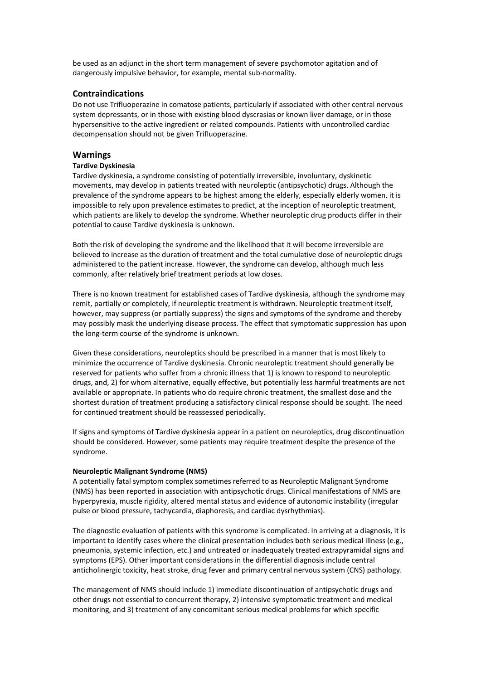be used as an adjunct in the short term management of severe psychomotor agitation and of dangerously impulsive behavior, for example, mental sub-normality.

### **Contraindications**

Do not use Trifluoperazine in comatose patients, particularly if associated with other central nervous system depressants, or in those with existing blood dyscrasias or known liver damage, or in those hypersensitive to the active ingredient or related compounds. Patients with uncontrolled cardiac decompensation should not be given Trifluoperazine.

## **Warnings**

#### **Tardive Dyskinesia**

Tardive dyskinesia, a syndrome consisting of potentially irreversible, involuntary, dyskinetic movements, may develop in patients treated with neuroleptic (antipsychotic) drugs. Although the prevalence of the syndrome appears to be highest among the elderly, especially elderly women, it is impossible to rely upon prevalence estimates to predict, at the inception of neuroleptic treatment, which patients are likely to develop the syndrome. Whether neuroleptic drug products differ in their potential to cause Tardive dyskinesia is unknown.

Both the risk of developing the syndrome and the likelihood that it will become irreversible are believed to increase as the duration of treatment and the total cumulative dose of neuroleptic drugs administered to the patient increase. However, the syndrome can develop, although much less commonly, after relatively brief treatment periods at low doses.

There is no known treatment for established cases of Tardive dyskinesia, although the syndrome may remit, partially or completely, if neuroleptic treatment is withdrawn. Neuroleptic treatment itself, however, may suppress (or partially suppress) the signs and symptoms of the syndrome and thereby may possibly mask the underlying disease process. The effect that symptomatic suppression has upon the long-term course of the syndrome is unknown.

Given these considerations, neuroleptics should be prescribed in a manner that is most likely to minimize the occurrence of Tardive dyskinesia. Chronic neuroleptic treatment should generally be reserved for patients who suffer from a chronic illness that 1) is known to respond to neuroleptic drugs, and, 2) for whom alternative, equally effective, but potentially less harmful treatments are not available or appropriate. In patients who do require chronic treatment, the smallest dose and the shortest duration of treatment producing a satisfactory clinical response should be sought. The need for continued treatment should be reassessed periodically.

If signs and symptoms of Tardive dyskinesia appear in a patient on neuroleptics, drug discontinuation should be considered. However, some patients may require treatment despite the presence of the syndrome.

#### **Neuroleptic Malignant Syndrome (NMS)**

A potentially fatal symptom complex sometimes referred to as Neuroleptic Malignant Syndrome (NMS) has been reported in association with antipsychotic drugs. Clinical manifestations of NMS are hyperpyrexia, muscle rigidity, altered mental status and evidence of autonomic instability (irregular pulse or blood pressure, tachycardia, diaphoresis, and cardiac dysrhythmias).

The diagnostic evaluation of patients with this syndrome is complicated. In arriving at a diagnosis, it is important to identify cases where the clinical presentation includes both serious medical illness (e.g., pneumonia, systemic infection, etc.) and untreated or inadequately treated extrapyramidal signs and symptoms (EPS). Other important considerations in the differential diagnosis include central anticholinergic toxicity, heat stroke, drug fever and primary central nervous system (CNS) pathology.

The management of NMS should include 1) immediate discontinuation of antipsychotic drugs and other drugs not essential to concurrent therapy, 2) intensive symptomatic treatment and medical monitoring, and 3) treatment of any concomitant serious medical problems for which specific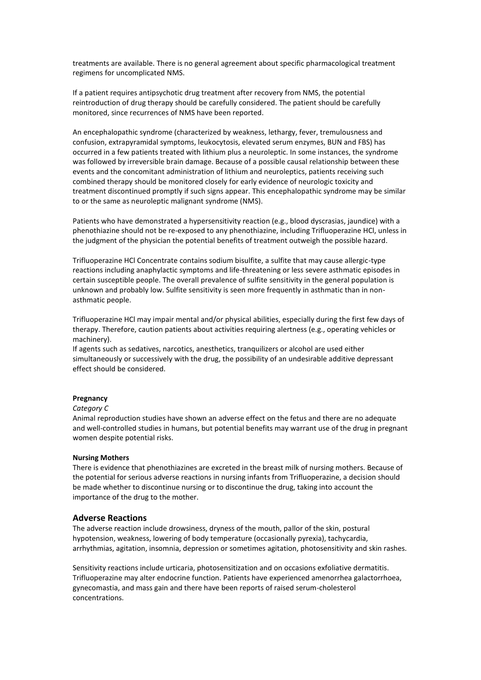treatments are available. There is no general agreement about specific pharmacological treatment regimens for uncomplicated NMS.

If a patient requires antipsychotic drug treatment after recovery from NMS, the potential reintroduction of drug therapy should be carefully considered. The patient should be carefully monitored, since recurrences of NMS have been reported.

An encephalopathic syndrome (characterized by weakness, lethargy, fever, tremulousness and confusion, extrapyramidal symptoms, leukocytosis, elevated serum enzymes, BUN and FBS) has occurred in a few patients treated with lithium plus a neuroleptic. In some instances, the syndrome was followed by irreversible brain damage. Because of a possible causal relationship between these events and the concomitant administration of lithium and neuroleptics, patients receiving such combined therapy should be monitored closely for early evidence of neurologic toxicity and treatment discontinued promptly if such signs appear. This encephalopathic syndrome may be similar to or the same as neuroleptic malignant syndrome (NMS).

Patients who have demonstrated a hypersensitivity reaction (e.g., blood dyscrasias, jaundice) with a phenothiazine should not be re-exposed to any phenothiazine, including Trifluoperazine HCl, unless in the judgment of the physician the potential benefits of treatment outweigh the possible hazard.

Trifluoperazine HCl Concentrate contains sodium bisulfite, a sulfite that may cause allergic-type reactions including anaphylactic symptoms and life-threatening or less severe asthmatic episodes in certain susceptible people. The overall prevalence of sulfite sensitivity in the general population is unknown and probably low. Sulfite sensitivity is seen more frequently in asthmatic than in nonasthmatic people.

Trifluoperazine HCl may impair mental and/or physical abilities, especially during the first few days of therapy. Therefore, caution patients about activities requiring alertness (e.g., operating vehicles or machinery).

If agents such as sedatives, narcotics, anesthetics, tranquilizers or alcohol are used either simultaneously or successively with the drug, the possibility of an undesirable additive depressant effect should be considered.

#### **Pregnancy**

#### *Category C*

Animal reproduction studies have shown an adverse effect on the fetus and there are no adequate and well-controlled studies in humans, but potential benefits may warrant use of the drug in pregnant women despite potential risks.

#### **Nursing Mothers**

There is evidence that phenothiazines are excreted in the breast milk of nursing mothers. Because of the potential for serious adverse reactions in nursing infants from Trifluoperazine, a decision should be made whether to discontinue nursing or to discontinue the drug, taking into account the importance of the drug to the mother.

#### **Adverse Reactions**

The adverse reaction include drowsiness, dryness of the mouth, pallor of the skin, postural hypotension, weakness, lowering of body temperature (occasionally pyrexia), tachycardia, arrhythmias, agitation, insomnia, depression or sometimes agitation, photosensitivity and skin rashes.

Sensitivity reactions include urticaria, photosensitization and on occasions exfoliative dermatitis. Trifluoperazine may alter endocrine function. Patients have experienced amenorrhea galactorrhoea, gynecomastia, and mass gain and there have been reports of raised serum-cholesterol concentrations.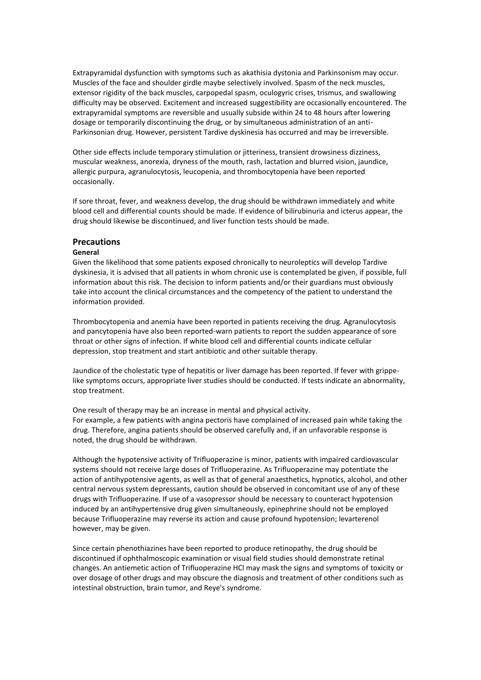Extrapyramidal dysfunction with symptoms such as akathisia dystonia and Parkinsonism may occur. Muscles of the face and shoulder girdle maybe selectively involved. Spasm of the neck muscles, extensor rigidity of the back muscles, carpopedal spasm, oculogyric crises, trismus, and swallowing difficulty may be observed. Excitement and increased suggestibility are occasionally encountered. The extrapyramidal symptoms are reversible and usually subside within 24 to 48 hours after lowering dosage or temporarily discontinuing the drug, or by simultaneous administration of an anti-Parkinsonian drug. However, persistent Tardive dyskinesia has occurred and may be irreversible.

Other side effects include temporary stimulation or jitteriness, transient drowsiness dizziness, muscular weakness, anorexia, dryness of the mouth, rash, lactation and blurred vision, jaundice, allergic purpura, agranulocytosis, leucopenia, and thrombocytopenia have been reported occasionally.

If sore throat, fever, and weakness develop, the drug should be withdrawn immediately and white blood cell and differential counts should be made. If evidence of bilirubinuria and icterus appear, the drug should likewise be discontinued, and liver function tests should be made.

#### **Precautions**

#### **General**

Given the likelihood that some patients exposed chronically to neuroleptics will develop Tardive dyskinesia, it is advised that all patients in whom chronic use is contemplated be given, if possible, full information about this risk. The decision to inform patients and/or their guardians must obviously take into account the clinical circumstances and the competency of the patient to understand the information provided.

Thrombocytopenia and anemia have been reported in patients receiving the drug. Agranulocytosis and pancytopenia have also been reported-warn patients to report the sudden appearance of sore throat or other signs of infection. If white blood cell and differential counts indicate cellular depression, stop treatment and start antibiotic and other suitable therapy.

Jaundice of the cholestatic type of hepatitis or liver damage has been reported. If fever with grippelike symptoms occurs, appropriate liver studies should be conducted. If tests indicate an abnormality, stop treatment.

One result of therapy may be an increase in mental and physical activity. For example, a few patients with angina pectoris have complained of increased pain while taking the drug. Therefore, angina patients should be observed carefully and, if an unfavorable response is noted, the drug should be withdrawn.

Although the hypotensive activity of Trifluoperazine is minor, patients with impaired cardiovascular systems should not receive large doses of Trifluoperazine. As Trifluoperazine may potentiate the action of antihypotensive agents, as well as that of general anaesthetics, hypnotics, alcohol, and other central nervous system depressants, caution should be observed in concomitant use of any of these drugs with Trifluoperazine. If use of a vasopressor should be necessary to counteract hypotension induced by an antihypertensive drug given simultaneously, epinephrine should not be employed because Trifluoperazine may reverse its action and cause profound hypotension; levarterenol however, may be given.

Since certain phenothiazines have been reported to produce retinopathy, the drug should be discontinued if ophthalmoscopic examination or visual field studies should demonstrate retinal changes. An antiemetic action of Trifluoperazine HCl may mask the signs and symptoms of toxicity or over dosage of other drugs and may obscure the diagnosis and treatment of other conditions such as intestinal obstruction, brain tumor, and Reye's syndrome.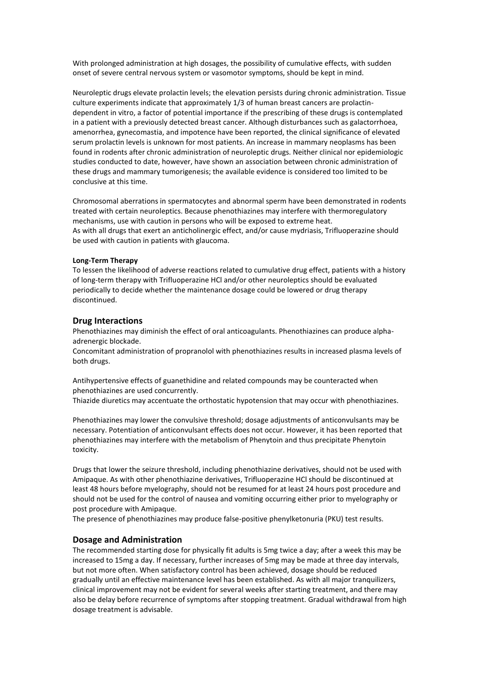With prolonged administration at high dosages, the possibility of cumulative effects, with sudden onset of severe central nervous system or vasomotor symptoms, should be kept in mind.

Neuroleptic drugs elevate prolactin levels; the elevation persists during chronic administration. Tissue culture experiments indicate that approximately 1/3 of human breast cancers are prolactindependent in vitro, a factor of potential importance if the prescribing of these drugs is contemplated in a patient with a previously detected breast cancer. Although disturbances such as galactorrhoea, amenorrhea, gynecomastia, and impotence have been reported, the clinical significance of elevated serum prolactin levels is unknown for most patients. An increase in mammary neoplasms has been found in rodents after chronic administration of neuroleptic drugs. Neither clinical nor epidemiologic studies conducted to date, however, have shown an association between chronic administration of these drugs and mammary tumorigenesis; the available evidence is considered too limited to be conclusive at this time.

Chromosomal aberrations in spermatocytes and abnormal sperm have been demonstrated in rodents treated with certain neuroleptics. Because phenothiazines may interfere with thermoregulatory mechanisms, use with caution in persons who will be exposed to extreme heat. As with all drugs that exert an anticholinergic effect, and/or cause mydriasis, Trifluoperazine should be used with caution in patients with glaucoma.

#### **Long-Term Therapy**

To lessen the likelihood of adverse reactions related to cumulative drug effect, patients with a history of long-term therapy with Trifluoperazine HCl and/or other neuroleptics should be evaluated periodically to decide whether the maintenance dosage could be lowered or drug therapy discontinued.

#### **Drug Interactions**

Phenothiazines may diminish the effect of oral anticoagulants. Phenothiazines can produce alphaadrenergic blockade.

Concomitant administration of propranolol with phenothiazines results in increased plasma levels of both drugs.

Antihypertensive effects of guanethidine and related compounds may be counteracted when phenothiazines are used concurrently.

Thiazide diuretics may accentuate the orthostatic hypotension that may occur with phenothiazines.

Phenothiazines may lower the convulsive threshold; dosage adjustments of anticonvulsants may be necessary. Potentiation of anticonvulsant effects does not occur. However, it has been reported that phenothiazines may interfere with the metabolism of Phenytoin and thus precipitate Phenytoin toxicity.

Drugs that lower the seizure threshold, including phenothiazine derivatives, should not be used with Amipaque. As with other phenothiazine derivatives, Trifluoperazine HCl should be discontinued at least 48 hours before myelography, should not be resumed for at least 24 hours post procedure and should not be used for the control of nausea and vomiting occurring either prior to myelography or post procedure with Amipaque.

The presence of phenothiazines may produce false-positive phenylketonuria (PKU) test results.

#### **Dosage and Administration**

The recommended starting dose for physically fit adults is 5mg twice a day; after a week this may be increased to 15mg a day. If necessary, further increases of 5mg may be made at three day intervals, but not more often. When satisfactory control has been achieved, dosage should be reduced gradually until an effective maintenance level has been established. As with all major tranquilizers, clinical improvement may not be evident for several weeks after starting treatment, and there may also be delay before recurrence of symptoms after stopping treatment. Gradual withdrawal from high dosage treatment is advisable.